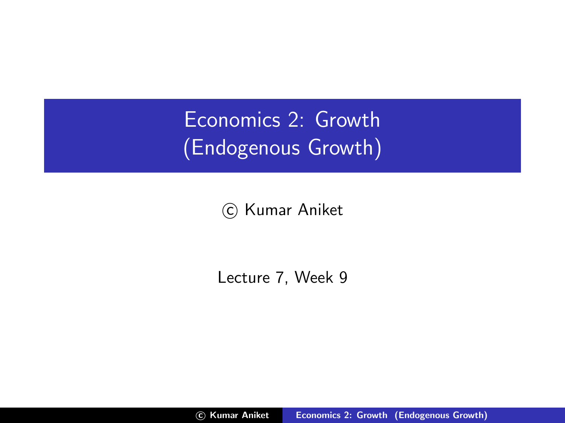Economics 2: Growth (Endogenous Growth)

(c) Kumar Aniket

Lecture 7, Week 9

<span id="page-0-0"></span>c Kumar Aniket [Economics 2: Growth \(Endogenous Growth\)](#page-8-0)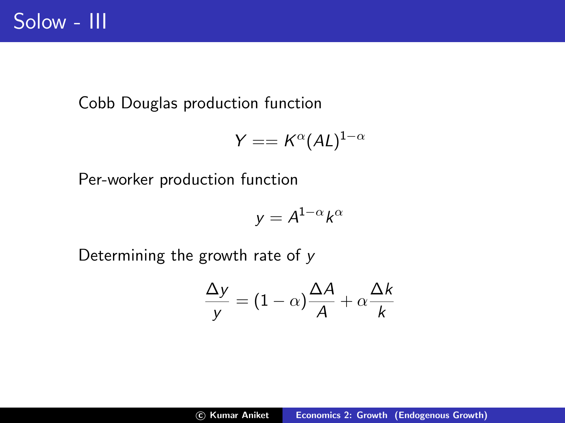Cobb Douglas production function

$$
Y == K^{\alpha}(AL)^{1-\alpha}
$$

Per-worker production function

$$
y = A^{1-\alpha}k^{\alpha}
$$

Determining the growth rate of y

$$
\frac{\Delta y}{y} = (1 - \alpha) \frac{\Delta A}{A} + \alpha \frac{\Delta k}{k}
$$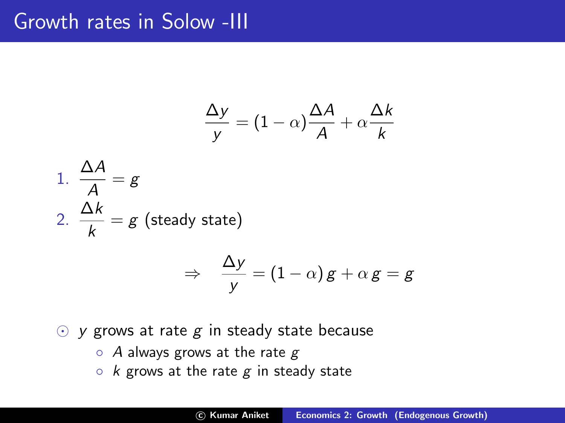#### Growth rates in Solow -III

$$
\frac{\Delta y}{y} = (1 - \alpha) \frac{\Delta A}{A} + \alpha \frac{\Delta k}{k}
$$

1. 
$$
\frac{\Delta A}{A} = g
$$
  
\n2.  $\frac{\Delta k}{k} = g$  (steady state)  
\n $\Rightarrow \frac{\Delta y}{y} = (1 - \alpha)g + \alpha g = g$ 

- $\odot$  y grows at rate g in steady state because
	- $\circ$  A always grows at the rate g
	- $\circ$  k grows at the rate g in steady state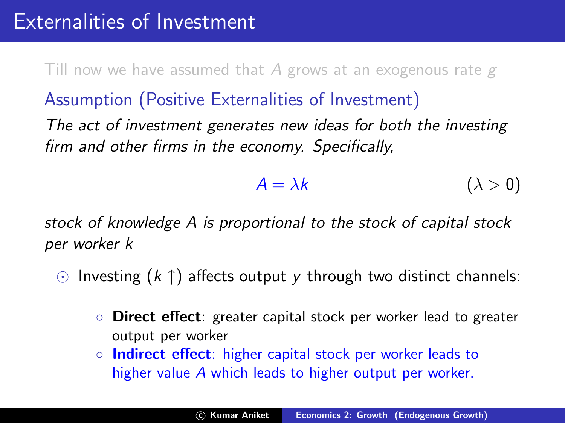Till now we have assumed that A grows at an exogenous rate  $g$ 

Assumption (Positive Externalities of Investment)

The act of investment generates new ideas for both the investing firm and other firms in the economy. Specifically,

$$
A = \lambda k \qquad (\lambda > 0)
$$

stock of knowledge A is proportional to the stock of capital stock per worker k

- $\odot$  Investing  $(k \uparrow)$  affects output y through two distinct channels:
	- Direct effect: greater capital stock per worker lead to greater output per worker
	- Indirect effect: higher capital stock per worker leads to higher value A which leads to higher output per worker.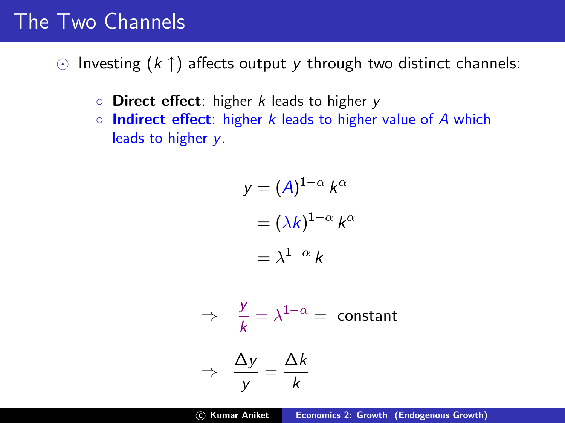#### The Two Channels

 $\odot$  Investing  $(k \uparrow)$  affects output y through two distinct channels:

- $\circ$  Direct effect: higher k leads to higher y
- $\circ$  Indirect effect: higher k leads to higher value of A which leads to higher y.

$$
y = (A)^{1-\alpha} k^{\alpha}
$$

$$
= (\lambda k)^{1-\alpha} k^{\alpha}
$$

$$
= \lambda^{1-\alpha} k
$$

$$
\Rightarrow \frac{y}{k} = \lambda^{1-\alpha} = \text{constant}
$$

$$
\Rightarrow \frac{\Delta y}{y} = \frac{\Delta k}{k}
$$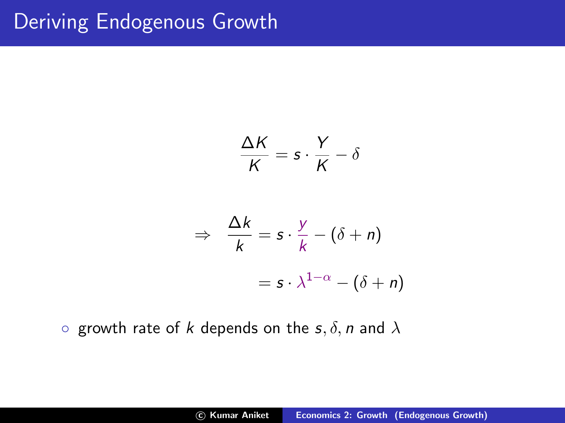# Deriving Endogenous Growth

$$
\frac{\Delta K}{K} = s \cdot \frac{Y}{K} - \delta
$$

$$
\Rightarrow \frac{\Delta k}{k} = s \cdot \frac{y}{k} - (\delta + n)
$$

$$
= s \cdot \lambda^{1-\alpha} - (\delta + n)
$$

o growth rate of k depends on the  $s, \delta, n$  and  $\lambda$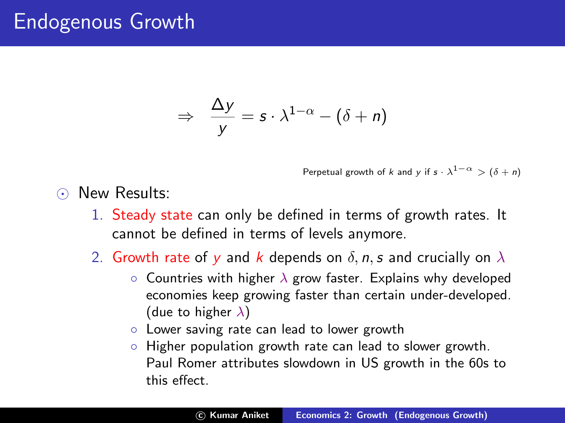### Endogenous Growth

$$
\Rightarrow \frac{\Delta y}{y} = s \cdot \lambda^{1-\alpha} - (\delta + n)
$$

Perpetual growth of k and y if  $s \cdot \lambda^{1-\alpha} > (\delta + n)$ 

- O New Results:
	- 1. Steady state can only be defined in terms of growth rates. It cannot be defined in terms of levels anymore.
	- 2. Growth rate of y and k depends on  $\delta$ , n, s and crucially on  $\lambda$ 
		- $\circ$  Countries with higher  $\lambda$  grow faster. Explains why developed economies keep growing faster than certain under-developed. (due to higher  $\lambda$ )
		- Lower saving rate can lead to lower growth
		- Higher population growth rate can lead to slower growth. Paul Romer attributes slowdown in US growth in the 60s to this effect.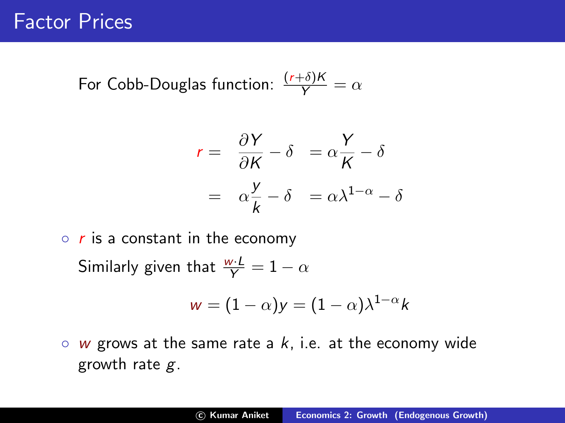For Cobb-Douglas function:  $\frac{(r+\delta)K}{Y} = \alpha$ 

$$
r = \frac{\partial Y}{\partial K} - \delta = \alpha \frac{Y}{K} - \delta
$$

$$
= \alpha \frac{Y}{K} - \delta = \alpha \lambda^{1-\alpha} - \delta
$$

 $\circ$  r is a constant in the economy Similarly given that  $\frac{w \cdot L}{Y} = 1 - \alpha$ 

$$
w = (1 - \alpha)y = (1 - \alpha)\lambda^{1 - \alpha}k
$$

 $\circ$  w grows at the same rate a k, i.e. at the economy wide growth rate  $g$ .